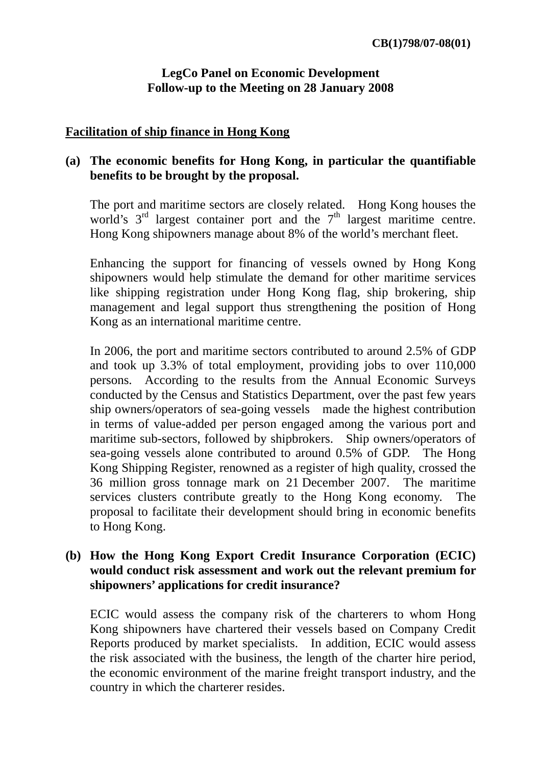## **LegCo Panel on Economic Development Follow-up to the Meeting on 28 January 2008**

## **Facilitation of ship finance in Hong Kong**

# **(a) The economic benefits for Hong Kong, in particular the quantifiable benefits to be brought by the proposal.**

The port and maritime sectors are closely related. Hong Kong houses the world's  $3<sup>rd</sup>$  largest container port and the  $7<sup>th</sup>$  largest maritime centre. Hong Kong shipowners manage about 8% of the world's merchant fleet.

Enhancing the support for financing of vessels owned by Hong Kong shipowners would help stimulate the demand for other maritime services like shipping registration under Hong Kong flag, ship brokering, ship management and legal support thus strengthening the position of Hong Kong as an international maritime centre.

In 2006, the port and maritime sectors contributed to around 2.5% of GDP and took up 3.3% of total employment, providing jobs to over 110,000 persons. According to the results from the Annual Economic Surveys conducted by the Census and Statistics Department, over the past few years ship owners/operators of sea-going vessels made the highest contribution in terms of value-added per person engaged among the various port and maritime sub-sectors, followed by shipbrokers. Ship owners/operators of sea-going vessels alone contributed to around 0.5% of GDP. The Hong Kong Shipping Register, renowned as a register of high quality, crossed the 36 million gross tonnage mark on 21 December 2007. The maritime services clusters contribute greatly to the Hong Kong economy. The proposal to facilitate their development should bring in economic benefits to Hong Kong.

#### **(b) How the Hong Kong Export Credit Insurance Corporation (ECIC) would conduct risk assessment and work out the relevant premium for shipowners' applications for credit insurance?**

ECIC would assess the company risk of the charterers to whom Hong Kong shipowners have chartered their vessels based on Company Credit Reports produced by market specialists. In addition, ECIC would assess the risk associated with the business, the length of the charter hire period, the economic environment of the marine freight transport industry, and the country in which the charterer resides.